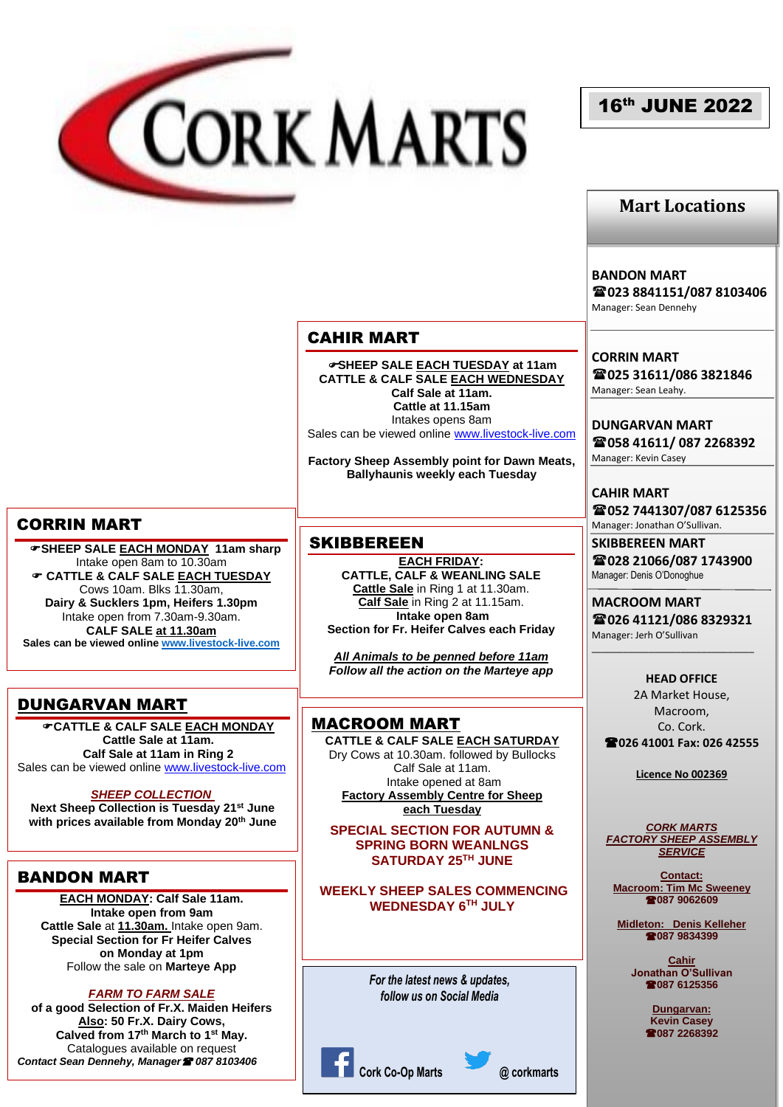

# 16th JUNE 2022

## **Mart Locations**

**BANDON MART**

**023 8841151/087 8103406** Manager: Sean Dennehy

### **CORRIN MART 025 31611/086 3821846** Manager: Sean Leahy.

**DUNGARVAN MART 058 41611/ 087 2268392** Manager: Kevin Casey

**CAHIR MART 052 7441307/087 6125356** Manager: Jonathan O'Sullivan.

**SKIBBEREEN MART 028 21066/087 1743900** Manager: Denis O'Donoghue

**MACROOM MART 026 41121/086 8329321** Manager: Jerh O'Sullivan

\_\_\_\_\_\_\_\_\_\_\_\_\_\_\_\_\_\_\_\_\_\_\_\_\_\_\_\_\_\_\_

**HEAD OFFICE** 2A Market House, Macroom, Co. Cork. **026 41001 Fax: 026 42555**

**Licence No 002369**

*CORK MARTS FACTORY SHEEP ASSEMBLY SERVICE*

**Contact: Macroom: Tim Mc Sweeney 087 9062609**

**Midleton: Denis Kelleher 087 9834399**

> **Cahir Jonathan O'Sullivan 087 6125356**

> > **Dungarvan: Kevin Casey 087 2268392**

# **SHEEP SALE EACH TUESDAY at 11am**

CAHIR MART

**CATTLE & CALF SALE EACH WEDNESDAY Calf Sale at 11am. Cattle at 11.15am** Intakes opens 8am Sales can be viewed online [www.livestock-live.com](http://www.livestock-live.com/)

**Factory Sheep Assembly point for Dawn Meats, Ballyhaunis weekly each Tuesday**

### **SKIBBEREEN**

**EACH FRIDAY: CATTLE, CALF & WEANLING SALE Cattle Sale** in Ring 1 at 11.30am. **Calf Sale** in Ring 2 at 11.15am. **Intake open 8am Section for Fr. Heifer Calves each Friday**

*All Animals to be penned before 11am Follow all the action on the Marteye app*

## MACROOM MART

**CATTLE & CALF SALE EACH SATURDAY** Dry Cows at 10.30am. followed by Bullocks Calf Sale at 11am. Intake opened at 8am **Factory Assembly Centre for Sheep each Tuesday**

**SPECIAL SECTION FOR AUTUMN & SPRING BORN WEANLNGS SATURDAY 25TH JUNE**

**WEEKLY SHEEP SALES COMMENCING WEDNESDAY 6TH JULY**

> *For the latest news & updates, follow us on Social Media*



CORRIN MART

 **SHEEP SALE EACH MONDAY 11am sharp** Intake open 8am to 10.30am **CATTLE & CALF SALE EACH TUESDAY** Cows 10am. Blks 11.30am, **Dairy & Sucklers 1pm, Heifers 1.30pm** Intake open from 7.30am-9.30am. **CALF SALE at 11.30am Sales can be viewed online [www.livestock-live.com](http://www.livestock-live.com/)**

## DUNGARVAN MART

**CATTLE & CALF SALE EACH MONDAY Cattle Sale at 11am. Calf Sale at 11am in Ring 2** Sales can be viewed online [www.livestock-live.com](http://www.livestock-live.com/)

#### *SHEEP COLLECTION*

**Next Sheep Collection is Tuesday 21st June with prices available from Monday 20th June**

## BANDON MART

**EACH MONDAY: Calf Sale 11am. Intake open from 9am Cattle Sale** at **11.30am.** Intake open 9am. **Special Section for Fr Heifer Calves on Monday at 1pm** Follow the sale on **Marteye App**

*FARM TO FARM SALE* 

**of a good Selection of Fr.X. Maiden Heifers Also: 50 Fr.X. Dairy Cows, Calved from 17th March to 1st May.** Catalogues available on request *Contact Sean Dennehy, Manager 087 8103406*